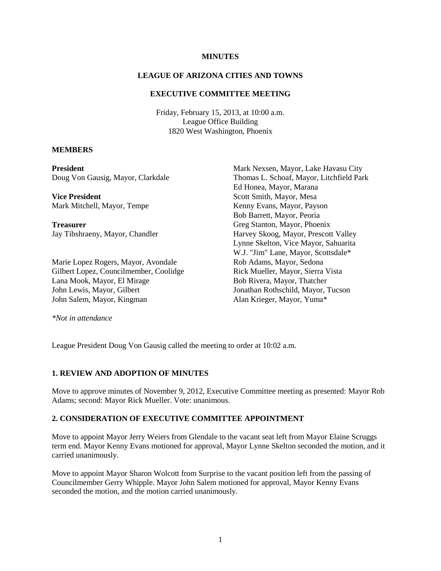#### **MINUTES**

## **LEAGUE OF ARIZONA CITIES AND TOWNS**

## **EXECUTIVE COMMITTEE MEETING**

Friday, February 15, 2013, at 10:00 a.m. League Office Building 1820 West Washington, Phoenix

#### **MEMBERS**

| President                              | Mark Nexsen, Mayor, Lake Havasu City     |
|----------------------------------------|------------------------------------------|
| Doug Von Gausig, Mayor, Clarkdale      | Thomas L. Schoaf, Mayor, Litchfield Park |
|                                        | Ed Honea, Mayor, Marana                  |
| <b>Vice President</b>                  | Scott Smith, Mayor, Mesa                 |
| Mark Mitchell, Mayor, Tempe            | Kenny Evans, Mayor, Payson               |
|                                        | Bob Barrett, Mayor, Peoria               |
| Treasurer                              | Greg Stanton, Mayor, Phoenix             |
| Jay Tibshraeny, Mayor, Chandler        | Harvey Skoog, Mayor, Prescott Valley     |
|                                        | Lynne Skelton, Vice Mayor, Sahuarita     |
|                                        | W.J. "Jim" Lane, Mayor, Scottsdale*      |
| Marie Lopez Rogers, Mayor, Avondale    | Rob Adams, Mayor, Sedona                 |
| Gilbert Lopez, Councilmember, Coolidge | Rick Mueller, Mayor, Sierra Vista        |
| Lana Mook, Mayor, El Mirage            | Bob Rivera, Mayor, Thatcher              |
| John Lewis, Mayor, Gilbert             | Jonathan Rothschild, Mayor, Tucson       |
| John Salem, Mayor, Kingman             | Alan Krieger, Mayor, Yuma*               |
|                                        |                                          |

*\*Not in attendance* 

League President Doug Von Gausig called the meeting to order at 10:02 a.m.

## **1. REVIEW AND ADOPTION OF MINUTES**

Move to approve minutes of November 9, 2012, Executive Committee meeting as presented: Mayor Rob Adams; second: Mayor Rick Mueller. Vote: unanimous.

## **2. CONSIDERATION OF EXECUTIVE COMMITTEE APPOINTMENT**

Move to appoint Mayor Jerry Weiers from Glendale to the vacant seat left from Mayor Elaine Scruggs term end. Mayor Kenny Evans motioned for approval, Mayor Lynne Skelton seconded the motion, and it carried unanimously.

Move to appoint Mayor Sharon Wolcott from Surprise to the vacant position left from the passing of Councilmember Gerry Whipple. Mayor John Salem motioned for approval, Mayor Kenny Evans seconded the motion, and the motion carried unanimously.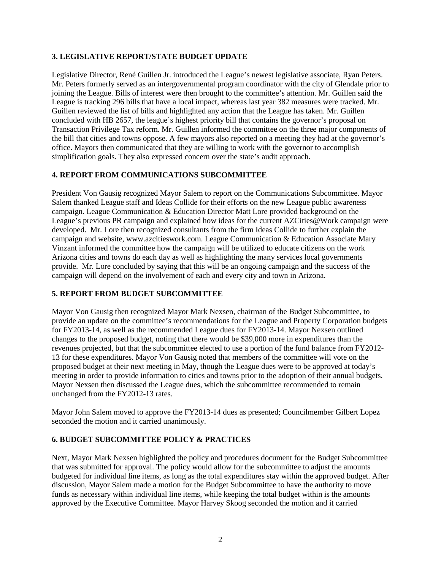## **3. LEGISLATIVE REPORT/STATE BUDGET UPDATE**

Legislative Director, René Guillen Jr. introduced the League's newest legislative associate, Ryan Peters. Mr. Peters formerly served as an intergovernmental program coordinator with the city of Glendale prior to joining the League. Bills of interest were then brought to the committee's attention. Mr. Guillen said the League is tracking 296 bills that have a local impact, whereas last year 382 measures were tracked. Mr. Guillen reviewed the list of bills and highlighted any action that the League has taken. Mr. Guillen concluded with HB 2657, the league's highest priority bill that contains the governor's proposal on Transaction Privilege Tax reform. Mr. Guillen informed the committee on the three major components of the bill that cities and towns oppose. A few mayors also reported on a meeting they had at the governor's office. Mayors then communicated that they are willing to work with the governor to accomplish simplification goals. They also expressed concern over the state's audit approach.

## **4. REPORT FROM COMMUNICATIONS SUBCOMMITTEE**

President Von Gausig recognized Mayor Salem to report on the Communications Subcommittee. Mayor Salem thanked League staff and Ideas Collide for their efforts on the new League public awareness campaign. League Communication & Education Director Matt Lore provided background on the League's previous PR campaign and explained how ideas for the current AZCities@Work campaign were developed. Mr. Lore then recognized consultants from the firm Ideas Collide to further explain the campaign and website, www.azcitieswork.com. League Communication & Education Associate Mary Vinzant informed the committee how the campaign will be utilized to educate citizens on the work Arizona cities and towns do each day as well as highlighting the many services local governments provide. Mr. Lore concluded by saying that this will be an ongoing campaign and the success of the campaign will depend on the involvement of each and every city and town in Arizona.

# **5. REPORT FROM BUDGET SUBCOMMITTEE**

Mayor Von Gausig then recognized Mayor Mark Nexsen, chairman of the Budget Subcommittee, to provide an update on the committee's recommendations for the League and Property Corporation budgets for FY2013-14, as well as the recommended League dues for FY2013-14. Mayor Nexsen outlined changes to the proposed budget, noting that there would be \$39,000 more in expenditures than the revenues projected, but that the subcommittee elected to use a portion of the fund balance from FY2012- 13 for these expenditures. Mayor Von Gausig noted that members of the committee will vote on the proposed budget at their next meeting in May, though the League dues were to be approved at today's meeting in order to provide information to cities and towns prior to the adoption of their annual budgets. Mayor Nexsen then discussed the League dues, which the subcommittee recommended to remain unchanged from the FY2012-13 rates.

Mayor John Salem moved to approve the FY2013-14 dues as presented; Councilmember Gilbert Lopez seconded the motion and it carried unanimously.

# **6. BUDGET SUBCOMMITTEE POLICY & PRACTICES**

Next, Mayor Mark Nexsen highlighted the policy and procedures document for the Budget Subcommittee that was submitted for approval. The policy would allow for the subcommittee to adjust the amounts budgeted for individual line items, as long as the total expenditures stay within the approved budget. After discussion, Mayor Salem made a motion for the Budget Subcommittee to have the authority to move funds as necessary within individual line items, while keeping the total budget within is the amounts approved by the Executive Committee. Mayor Harvey Skoog seconded the motion and it carried